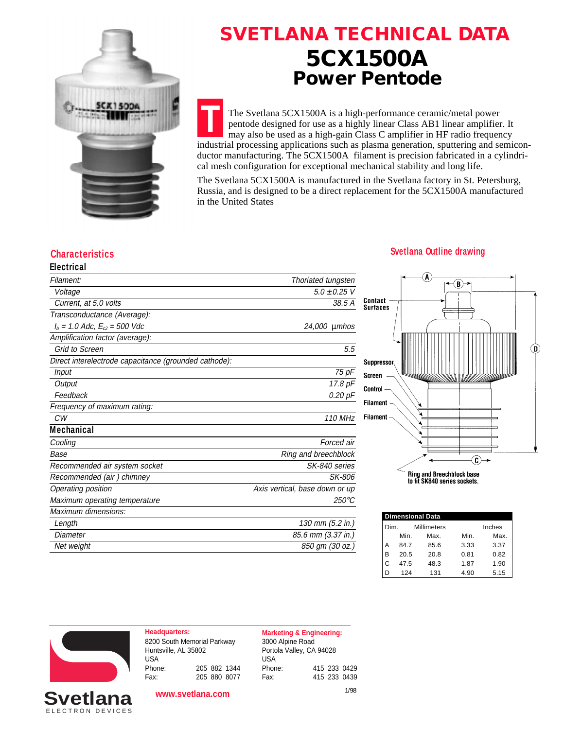

# **SVETLANA TECHNICAL DATA 5CX1500A Power Pentode**

**T** The Svetlana 5CX1500A is a high-performance ceramic/metal power pentode designed for use as a highly linear Class AB1 linear amplifier. It may also be used as a high-gain Class C amplifier in HF radio frequency industrial processing applications such as plasma generation, sputtering and semiconductor manufacturing. The 5CX1500A filament is precision fabricated in a cylindrical mesh configuration for exceptional mechanical stability and long life.

The Svetlana 5CX1500A is manufactured in the Svetlana factory in St. Petersburg, Russia, and is designed to be a direct replacement for the 5CX1500A manufactured in the United States

## **Electrical**

| Electrical                                            |                                |
|-------------------------------------------------------|--------------------------------|
| Filament:                                             | Thoriated tungsten             |
| Voltage                                               | $5.0 \pm 0.25$ V               |
| Current, at 5.0 volts                                 | 38.5 A                         |
| Transconductance (Average):                           |                                |
| $I_b = 1.0$ Adc, $E_{c2} = 500$ Vdc                   | 24,000 µmhos                   |
| Amplification factor (average):                       |                                |
| <b>Grid to Screen</b>                                 | 5.5                            |
| Direct interelectrode capacitance (grounded cathode): |                                |
| Input                                                 | 75 pF                          |
| Output                                                | 17.8 pF                        |
| Feedback                                              | 0.20 pF                        |
| Frequency of maximum rating:                          |                                |
| CW                                                    | 110 MHz                        |
| <b>Mechanical</b>                                     |                                |
| Cooling                                               | Forced air                     |
| Base                                                  | Ring and breechblock           |
| Recommended air system socket                         | SK-840 series                  |
| Recommended (air) chimney                             | SK-806                         |
| Operating position                                    | Axis vertical, base down or up |
| Maximum operating temperature                         | $250^{\circ}$ C                |
| Maximum dimensions:                                   |                                |
| Length                                                | 130 mm (5.2 in.)               |
| Diameter                                              | 85.6 mm (3.37 in.)             |
| Net weight                                            | 850 gm (30 oz.)                |
|                                                       |                                |

#### **Characteristics Svetlana Outline drawing**



|      | <b>Dimensional Data</b> |                    |      |        |  |
|------|-------------------------|--------------------|------|--------|--|
| Dim. |                         | <b>Millimeters</b> |      | Inches |  |
|      | Min.                    | Max.               | Min. | Max.   |  |
| А    | 847                     | 85.6               | 3.33 | 3.37   |  |
| B    | 20.5                    | 20.8               | 0.81 | 0.82   |  |
|      | 47.5                    | 48.3               | 1.87 | 1.90   |  |
| נ ו  | 124                     | 131                | 4.90 | 5.15   |  |



**Headquarters: Marketing & Engineering:** 8200 South Memorial Parkway Huntsville, AL 35802 USA Phone: 205 882 1344 Fax: 205 880 8077

**www.svetlana.com**

3000 Alpine Road Portola Valley, CA 94028 USA Phone: 415 233 0429 Fax: 415 233 0439

```
1/98
```